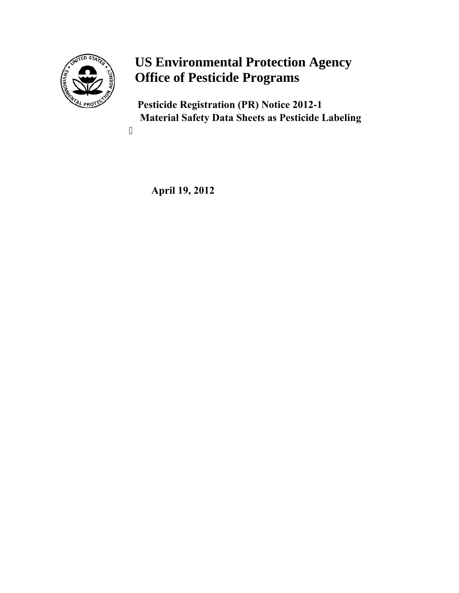

# **US Environmental Protection Agency Office of Pesticide Programs**

**Pesticide Registration (PR) Notice 2012-1 Material Safety Data Sheets as Pesticide Labeling**

 **April 19, 2012**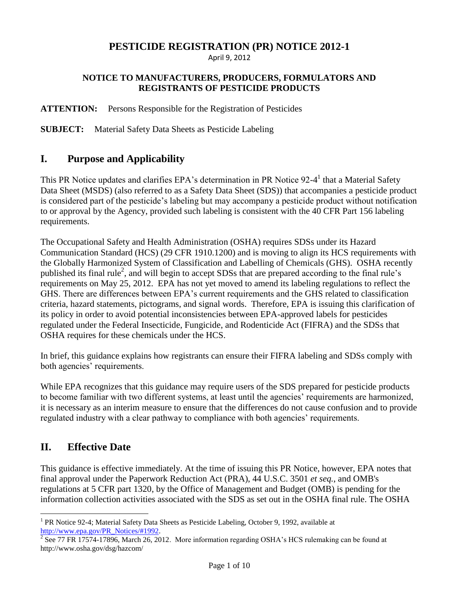# **PESTICIDE REGISTRATION (PR) NOTICE 2012-1**

April 9, 2012

#### **NOTICE TO MANUFACTURERS, PRODUCERS, FORMULATORS AND REGISTRANTS OF PESTICIDE PRODUCTS**

#### **ATTENTION:** Persons Responsible for the Registration of Pesticides

**SUBJECT:** Material Safety Data Sheets as Pesticide Labeling

### **I. Purpose and Applicability**

This PR Notice updates and clarifies EPA's determination in PR Notice 92-4<sup>1</sup> that a Material Safety Data Sheet (MSDS) (also referred to as a Safety Data Sheet (SDS)) that accompanies a pesticide product is considered part of the pesticide's labeling but may accompany a pesticide product without notification to or approval by the Agency, provided such labeling is consistent with the 40 CFR Part 156 labeling requirements.

The Occupational Safety and Health Administration (OSHA) requires SDSs under its Hazard Communication Standard (HCS) (29 CFR 1910.1200) and is moving to align its HCS requirements with the Globally Harmonized System of Classification and Labelling of Chemicals (GHS). OSHA recently published its final rule<sup>2</sup>, and will begin to accept SDSs that are prepared according to the final rule's requirements on May 25, 2012. EPA has not yet moved to amend its labeling regulations to reflect the GHS. There are differences between EPA's current requirements and the GHS related to classification criteria, hazard statements, pictograms, and signal words. Therefore, EPA is issuing this clarification of its policy in order to avoid potential inconsistencies between EPA-approved labels for pesticides regulated under the Federal Insecticide, Fungicide, and Rodenticide Act (FIFRA) and the SDSs that OSHA requires for these chemicals under the HCS.

 In brief, this guidance explains how registrants can ensure their FIFRA labeling and SDSs comply with both agencies' requirements.

While EPA recognizes that this guidance may require users of the SDS prepared for pesticide products to become familiar with two different systems, at least until the agencies' requirements are harmonized, it is necessary as an interim measure to ensure that the differences do not cause confusion and to provide regulated industry with a clear pathway to compliance with both agencies' requirements.

# **II. Effective Date**

 $\overline{a}$ 

 regulations at 5 CFR part 1320, by the Office of Management and Budget (OMB) is pending for the This guidance is effective immediately. At the time of issuing this PR Notice, however, EPA notes that final approval under the Paperwork Reduction Act (PRA), 44 U.S.C. 3501 *et seq.*, and OMB's information collection activities associated with the SDS as set out in the OSHA final rule. The OSHA

<sup>&</sup>lt;sup>1</sup> PR Notice 92-4; Material Safety Data Sheets as Pesticide Labeling, October 9, 1992, available at

[http://www.epa.gov/PR\\_Notices/#1992.](http://www.epa.gov/PR_Notices/#1992)<br><sup>2</sup> See 77 FR 17574-17896, March 26, 2012. More information regarding OSHA's HCS rulemaking can be found at http://www.osha.gov/dsg/hazcom/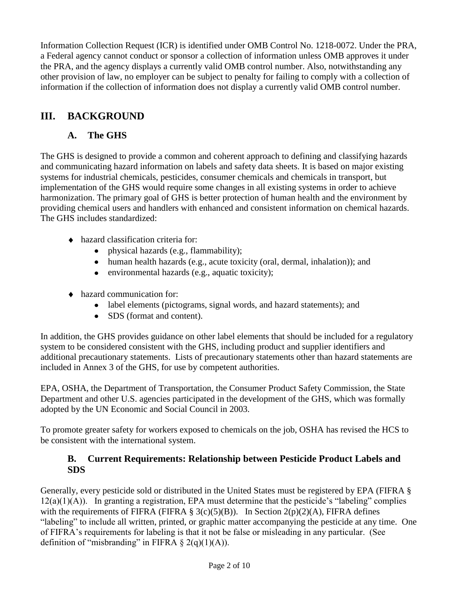information if the collection of information does not display a currently valid OMB control number. Information Collection Request (ICR) is identified under OMB Control No. 1218-0072. Under the PRA, a Federal agency cannot conduct or sponsor a collection of information unless OMB approves it under the PRA, and the agency displays a currently valid OMB control number. Also, notwithstanding any other provision of law, no employer can be subject to penalty for failing to comply with a collection of

# **III. BACKGROUND**

# **A. The GHS**

The GHS is designed to provide a common and coherent approach to defining and classifying hazards and communicating hazard information on labels and safety data sheets. It is based on major existing systems for industrial chemicals, pesticides, consumer chemicals and chemicals in transport, but implementation of the GHS would require some changes in all existing systems in order to achieve harmonization. The primary goal of GHS is better protection of human health and the environment by providing chemical users and handlers with enhanced and consistent information on chemical hazards. The GHS includes standardized:

- $\leftrightarrow$  hazard classification criteria for:
	- physical hazards (e.g., flammability);
	- human health hazards (e.g., acute toxicity (oral, dermal, inhalation)); and
	- environmental hazards (e.g., aquatic toxicity);
- hazard communication for:
	- label elements (pictograms, signal words, and hazard statements); and
	- SDS (format and content).

 In addition, the GHS provides guidance on other label elements that should be included for a regulatory additional precautionary statements. Lists of precautionary statements other than hazard statements are system to be considered consistent with the GHS, including product and supplier identifiers and included in Annex 3 of the GHS, for use by competent authorities.

EPA, OSHA, the Department of Transportation, the Consumer Product Safety Commission, the State Department and other U.S. agencies participated in the development of the GHS, which was formally adopted by the UN Economic and Social Council in 2003.

To promote greater safety for workers exposed to chemicals on the job, OSHA has revised the HCS to be consistent with the international system.

### **B. Current Requirements: Relationship between Pesticide Product Labels and SDS**

Generally, every pesticide sold or distributed in the United States must be registered by EPA (FIFRA §  $12(a)(1)(A)$ . In granting a registration, EPA must determine that the pesticide's "labeling" complies with the requirements of FIFRA (FIFRA  $\S 3(c)(5)(B)$ ). In Section 2(p)(2)(A), FIFRA defines "labeling" to include all written, printed, or graphic matter accompanying the pesticide at any time. One of FIFRA's requirements for labeling is that it not be false or misleading in any particular. (See definition of "misbranding" in FIFRA  $\S$  2(q)(1)(A)).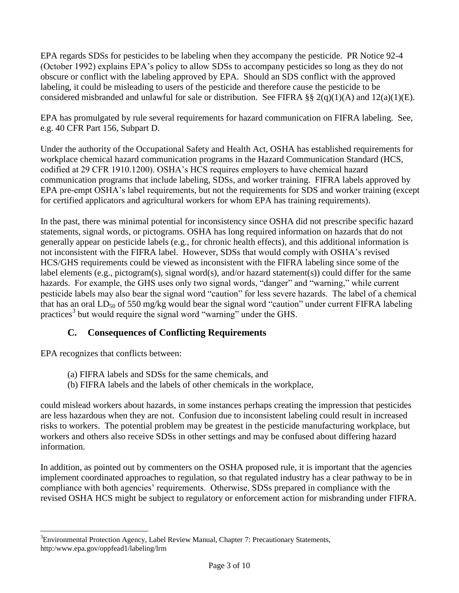EPA regards SDSs for pesticides to be labeling when they accompany the pesticide. PR Notice 92-4 (October 1992) explains EPA's policy to allow SDSs to accompany pesticides so long as they do not obscure or conflict with the labeling approved by EPA. Should an SDS conflict with the approved labeling, it could be misleading to users of the pesticide and therefore cause the pesticide to be considered misbranded and unlawful for sale or distribution. See FIFRA §§ 2(q)(1)(A) and 12(a)(1)(E).

EPA has promulgated by rule several requirements for hazard communication on FIFRA labeling. See, e.g. 40 CFR Part 156, Subpart D.

Under the authority of the Occupational Safety and Health Act, OSHA has established requirements for workplace chemical hazard communication programs in the Hazard Communication Standard (HCS, codified at 29 CFR 1910.1200). OSHA's HCS requires employers to have chemical hazard communication programs that include labeling, SDSs, and worker training. FIFRA labels approved by EPA pre-empt OSHA's label requirements, but not the requirements for SDS and worker training (except for certified applicators and agricultural workers for whom EPA has training requirements).

In the past, there was minimal potential for inconsistency since OSHA did not prescribe specific hazard statements, signal words, or pictograms. OSHA has long required information on hazards that do not generally appear on pesticide labels (e.g., for chronic health effects), and this additional information is not inconsistent with the FIFRA label. However, SDSs that would comply with OSHA's revised HCS/GHS requirements could be viewed as inconsistent with the FIFRA labeling since some of the label elements (e.g., pictogram(s), signal word(s), and/or hazard statement(s)) could differ for the same hazards. For example, the GHS uses only two signal words, "danger" and "warning," while current pesticide labels may also bear the signal word "caution" for less severe hazards. The label of a chemical that has an oral  $LD_{50}$  of 550 mg/kg would bear the signal word "caution" under current FIFRA labeling practices<sup>3</sup> but would require the signal word "warning" under the GHS.

# **C. Consequences of Conflicting Requirements**

EPA recognizes that conflicts between:

 $\overline{a}$ 

- (a) FIFRA labels and SDSs for the same chemicals, and
- (b) FIFRA labels and the labels of other chemicals in the workplace,

could mislead workers about hazards, in some instances perhaps creating the impression that pesticides are less hazardous when they are not. Confusion due to inconsistent labeling could result in increased risks to workers. The potential problem may be greatest in the pesticide manufacturing workplace, but workers and others also receive SDSs in other settings and may be confused about differing hazard information.

 compliance with both agencies' requirements. Otherwise, SDSs prepared in compliance with the revised OSHA HCS might be subject to regulatory or enforcement action for misbranding under FIFRA. In addition, as pointed out by commenters on the OSHA proposed rule, it is important that the agencies implement coordinated approaches to regulation, so that regulated industry has a clear pathway to be in

 ${}^{3}$ Environmental Protection Agency, Label Review Manual, Chapter 7: Precautionary Statements, http:/www.epa.gov/oppfead1/labeling/lrm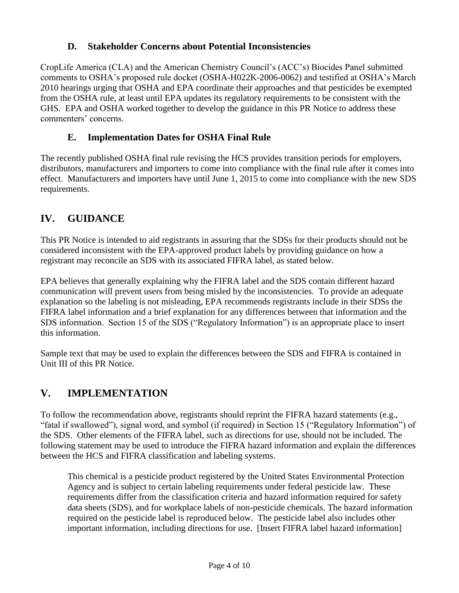### **D. Stakeholder Concerns about Potential Inconsistencies**

CropLife America (CLA) and the American Chemistry Council's (ACC's) Biocides Panel submitted comments to OSHA's proposed rule docket (OSHA-H022K-2006-0062) and testified at OSHA's March 2010 hearings urging that OSHA and EPA coordinate their approaches and that pesticides be exempted from the OSHA rule, at least until EPA updates its regulatory requirements to be consistent with the GHS. EPA and OSHA worked together to develop the guidance in this PR Notice to address these commenters' concerns.

# **E. Implementation Dates for OSHA Final Rule**

 The recently published OSHA final rule revising the HCS provides transition periods for employers, distributors, manufacturers and importers to come into compliance with the final rule after it comes into effect. Manufacturers and importers have until June 1, 2015 to come into compliance with the new SDS requirements.

# **IV. GUIDANCE**

This PR Notice is intended to aid registrants in assuring that the SDSs for their products should not be considered inconsistent with the EPA-approved product labels by providing guidance on how a registrant may reconcile an SDS with its associated FIFRA label, as stated below.

 explanation so the labeling is not misleading, EPA recommends registrants include in their SDSs the EPA believes that generally explaining why the FIFRA label and the SDS contain different hazard communication will prevent users from being misled by the inconsistencies. To provide an adequate FIFRA label information and a brief explanation for any differences between that information and the SDS information. Section 15 of the SDS ("Regulatory Information") is an appropriate place to insert this information.

 Unit III of this PR Notice. Sample text that may be used to explain the differences between the SDS and FIFRA is contained in

# **V. IMPLEMENTATION**

To follow the recommendation above, registrants should reprint the FIFRA hazard statements (e.g., "fatal if swallowed"), signal word, and symbol (if required) in Section 15 ("Regulatory Information") of the SDS. Other elements of the FIFRA label, such as directions for use, should not be included. The following statement may be used to introduce the FIFRA hazard information and explain the differences between the HCS and FIFRA classification and labeling systems.

This chemical is a pesticide product registered by the United States Environmental Protection Agency and is subject to certain labeling requirements under federal pesticide law. These requirements differ from the classification criteria and hazard information required for safety data sheets (SDS), and for workplace labels of non-pesticide chemicals. The hazard information required on the pesticide label is reproduced below. The pesticide label also includes other important information, including directions for use. [Insert FIFRA label hazard information]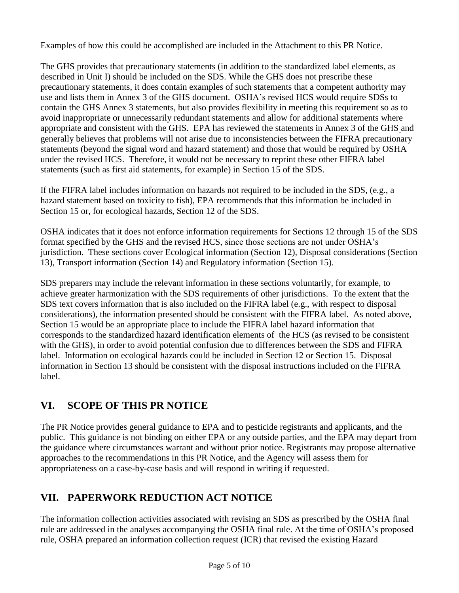Examples of how this could be accomplished are included in the Attachment to this PR Notice.

 described in Unit I) should be included on the SDS. While the GHS does not prescribe these use and lists them in Annex 3 of the GHS document. OSHA's revised HCS would require SDSs to appropriate and consistent with the GHS. EPA has reviewed the statements in Annex 3 of the GHS and under the revised HCS. Therefore, it would not be necessary to reprint these other FIFRA label The GHS provides that precautionary statements (in addition to the standardized label elements, as precautionary statements, it does contain examples of such statements that a competent authority may contain the GHS Annex 3 statements, but also provides flexibility in meeting this requirement so as to avoid inappropriate or unnecessarily redundant statements and allow for additional statements where generally believes that problems will not arise due to inconsistencies between the FIFRA precautionary statements (beyond the signal word and hazard statement) and those that would be required by OSHA statements (such as first aid statements, for example) in Section 15 of the SDS.

If the FIFRA label includes information on hazards not required to be included in the SDS, (e.g., a hazard statement based on toxicity to fish), EPA recommends that this information be included in Section 15 or, for ecological hazards, Section 12 of the SDS.

 OSHA indicates that it does not enforce information requirements for Sections 12 through 15 of the SDS format specified by the GHS and the revised HCS, since those sections are not under OSHA's jurisdiction. These sections cover Ecological information (Section 12), Disposal considerations (Section 13), Transport information (Section 14) and Regulatory information (Section 15).

SDS preparers may include the relevant information in these sections voluntarily, for example, to achieve greater harmonization with the SDS requirements of other jurisdictions. To the extent that the SDS text covers information that is also included on the FIFRA label (e.g., with respect to disposal considerations), the information presented should be consistent with the FIFRA label. As noted above, Section 15 would be an appropriate place to include the FIFRA label hazard information that corresponds to the standardized hazard identification elements of the HCS (as revised to be consistent with the GHS), in order to avoid potential confusion due to differences between the SDS and FIFRA label. Information on ecological hazards could be included in Section 12 or Section 15. Disposal information in Section 13 should be consistent with the disposal instructions included on the FIFRA label.

# **VI. SCOPE OF THIS PR NOTICE**

 the guidance where circumstances warrant and without prior notice. Registrants may propose alternative The PR Notice provides general guidance to EPA and to pesticide registrants and applicants, and the public. This guidance is not binding on either EPA or any outside parties, and the EPA may depart from approaches to the recommendations in this PR Notice, and the Agency will assess them for appropriateness on a case-by-case basis and will respond in writing if requested.

# **VII. PAPERWORK REDUCTION ACT NOTICE**

 rule are addressed in the analyses accompanying the OSHA final rule. At the time of OSHA's proposed The information collection activities associated with revising an SDS as prescribed by the OSHA final rule, OSHA prepared an information collection request (ICR) that revised the existing Hazard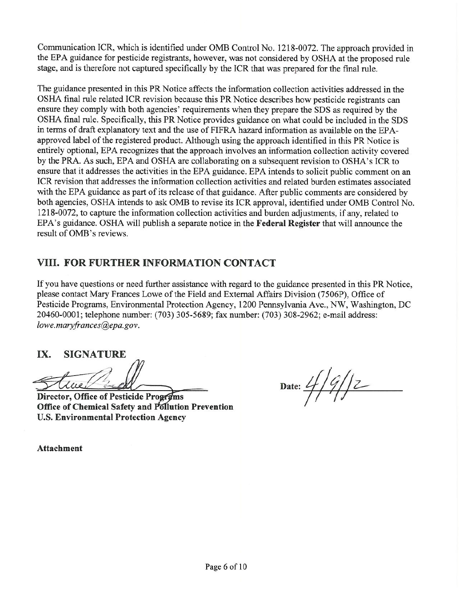Communication ICR, which is identified under OMB Control No. 1218-0072. The approach provided in the EPA guidance for pesticide registrants, however, was not considered by OSHA at the proposed rule stage, and is therefore not captured specifically by the ICR that was prepared for the final rule.

The guidance presented in this PR Notice affects the information collection activities addressed in the OSHA final rule related ICR revision because this PR Notice describes how pesticide registrants can ensure they comply with both agencies' requirements when they prepare the SDS as required by the OSHA final rule. Specifically, this PR Notice provides guidance on what could be included in the SDS in terms of draft explanatory text and the use of FIFRA hazard information as available on the EPAapproved label of the registered product. Although using the approach identified in this PR Notice is entirely optional, EPA recognizes that the approach involves an information collection activity covered by the PRA. As such, EPA and OSHA are collaborating on a subsequent revision to OSHA's ICR to ensure that it addresses the activities in the EPA guidance. EPA intends to solicit public comment on an ICR revision that addresses the information collection activities and related burden estimates associated with the EPA guidance as part of its release of that guidance. After public comments are considered by both agencies, OSHA intends to ask OMB to revise its ICR approval, identified under OMB Control No. 1218-0072, to capture the information collection activities and burden adjustments, if any, related to EPA's guidance. OSHA will publish a separate notice in the Federal Register that will announce the result of OMB's reviews.

# VIII. FOR FURTHER INFORMATION CONTACT

If you have questions or need further assistance with regard to the guidance presented in this PR Notice, please contact Mary Frances Lowe of the Field and External Affairs Division (7506P), Office of Pesticide Programs, Environmental Protection Agency, 1200 Pennsylvania Ave., NW, Washington, DC 20460-0001; telephone number: (703) 305-5689; fax number: (703) 308-2962; e-mail address: lowe.maryfrances@epa.gov.

IX. **SIGNATURE** 

Director, Office of Pesticide Programs **Office of Chemical Safety and Pollution Prevention U.S. Environmental Protection Agency** 

Date:  $4/9/2$ 

**Attachment**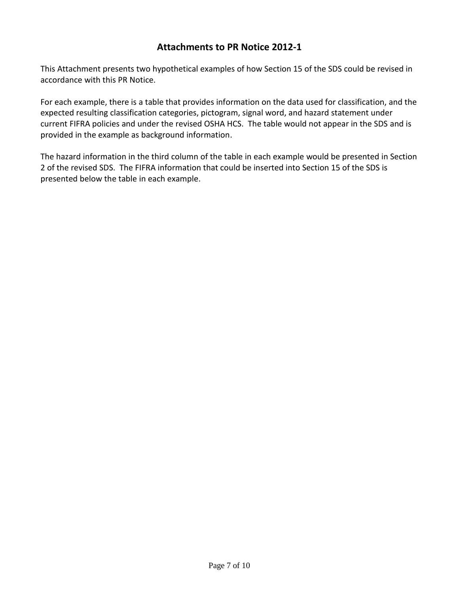#### **Attachments to PR Notice 2012-1**

 This Attachment presents two hypothetical examples of how Section 15 of the SDS could be revised in accordance with this PR Notice.

 For each example, there is a table that provides information on the data used for classification, and the expected resulting classification categories, pictogram, signal word, and hazard statement under current FIFRA policies and under the revised OSHA HCS. The table would not appear in the SDS and is provided in the example as background information.

 The hazard information in the third column of the table in each example would be presented in Section 2 of the revised SDS. The FIFRA information that could be inserted into Section 15 of the SDS is presented below the table in each example.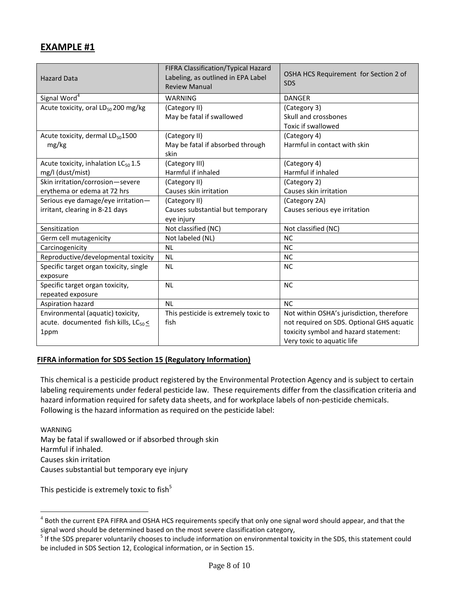### **EXAMPLE #1**

| <b>Hazard Data</b>                               | FIFRA Classification/Typical Hazard<br>Labeling, as outlined in EPA Label<br><b>Review Manual</b> | OSHA HCS Requirement for Section 2 of<br><b>SDS</b> |
|--------------------------------------------------|---------------------------------------------------------------------------------------------------|-----------------------------------------------------|
| Signal Word <sup>4</sup>                         | <b>WARNING</b>                                                                                    | <b>DANGER</b>                                       |
| Acute toxicity, oral LD <sub>50</sub> 200 mg/kg  | (Category II)                                                                                     | (Category 3)                                        |
|                                                  | May be fatal if swallowed                                                                         | Skull and crossbones                                |
|                                                  |                                                                                                   | Toxic if swallowed                                  |
| Acute toxicity, dermal LD <sub>50</sub> 1500     | (Category II)                                                                                     | (Category 4)                                        |
| mg/kg                                            | May be fatal if absorbed through                                                                  | Harmful in contact with skin                        |
|                                                  | skin                                                                                              |                                                     |
| Acute toxicity, inhalation LC <sub>50</sub> 1.5  | (Category III)                                                                                    | (Category 4)                                        |
| mg/l (dust/mist)                                 | Harmful if inhaled                                                                                | Harmful if inhaled                                  |
| Skin irritation/corrosion-severe                 | (Category II)                                                                                     | (Category 2)                                        |
| erythema or edema at 72 hrs                      | Causes skin irritation                                                                            | Causes skin irritation                              |
| Serious eye damage/eye irritation-               | (Category II)                                                                                     | (Category 2A)                                       |
| irritant, clearing in 8-21 days                  | Causes substantial but temporary                                                                  | Causes serious eye irritation                       |
|                                                  | eye injury                                                                                        |                                                     |
| Sensitization                                    | Not classified (NC)                                                                               | Not classified (NC)                                 |
| Germ cell mutagenicity                           | Not labeled (NL)                                                                                  | <b>NC</b>                                           |
| Carcinogenicity                                  | <b>NL</b>                                                                                         | <b>NC</b>                                           |
| Reproductive/developmental toxicity              | <b>NL</b>                                                                                         | <b>NC</b>                                           |
| Specific target organ toxicity, single           | <b>NL</b>                                                                                         | <b>NC</b>                                           |
| exposure                                         |                                                                                                   |                                                     |
| Specific target organ toxicity,                  | <b>NL</b>                                                                                         | <b>NC</b>                                           |
| repeated exposure                                |                                                                                                   |                                                     |
| Aspiration hazard                                | <b>NL</b>                                                                                         | <b>NC</b>                                           |
| Environmental (aquatic) toxicity,                | This pesticide is extremely toxic to                                                              | Not within OSHA's jurisdiction, therefore           |
| acute. documented fish kills, LC <sub>50</sub> < | fish                                                                                              | not required on SDS. Optional GHS aquatic           |
| 1ppm                                             |                                                                                                   | toxicity symbol and hazard statement:               |
|                                                  |                                                                                                   | Very toxic to aquatic life                          |

#### **FIFRA information for SDS Section 15 (Regulatory Information)**

 labeling requirements under federal pesticide law. These requirements differ from the classification criteria and Following is the hazard information as required on the pesticide label: This chemical is a pesticide product registered by the Environmental Protection Agency and is subject to certain hazard information required for safety data sheets, and for workplace labels of non-pesticide chemicals.

 WARNING Causes substantial but temporary eye injury May be fatal if swallowed or if absorbed through skin Harmful if inhaled. Causes skin irritation

This pesticide is extremely toxic to fish $^5$ 

 $\overline{a}$ 

 $4$  Both the current EPA FIFRA and OSHA HCS requirements specify that only one signal word should appear, and that the signal word should be determined based on the most severe classification category,

<sup>&</sup>lt;sup>5</sup> If the SDS preparer voluntarily chooses to include information on environmental toxicity in the SDS, this statement could be included in SDS Section 12, Ecological information, or in Section 15.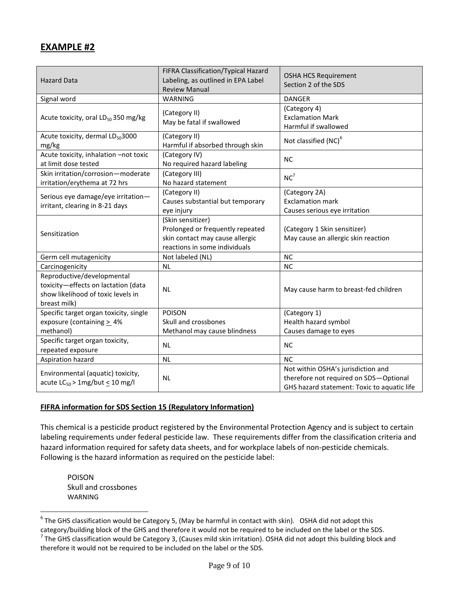#### **EXAMPLE #2**

| <b>Hazard Data</b>                                                                                                      | FIFRA Classification/Typical Hazard<br>Labeling, as outlined in EPA Label<br><b>Review Manual</b>                         | <b>OSHA HCS Requirement</b><br>Section 2 of the SDS                                                                         |
|-------------------------------------------------------------------------------------------------------------------------|---------------------------------------------------------------------------------------------------------------------------|-----------------------------------------------------------------------------------------------------------------------------|
| Signal word                                                                                                             | WARNING                                                                                                                   | <b>DANGER</b>                                                                                                               |
| Acute toxicity, oral LD <sub>50</sub> 350 mg/kg                                                                         | (Category II)<br>May be fatal if swallowed                                                                                | (Category 4)<br><b>Exclamation Mark</b><br>Harmful if swallowed                                                             |
| Acute toxicity, dermal LD <sub>50</sub> 3000<br>mg/kg                                                                   | (Category II)<br>Harmful if absorbed through skin                                                                         | Not classified (NC) <sup>6</sup>                                                                                            |
| Acute toxicity, inhalation -not toxic<br>at limit dose tested                                                           | (Category IV)<br>No required hazard labeling                                                                              | <b>NC</b>                                                                                                                   |
| Skin irritation/corrosion-moderate<br>irritation/erythema at 72 hrs                                                     | (Category III)<br>No hazard statement                                                                                     | $NC^7$                                                                                                                      |
| Serious eye damage/eye irritation-<br>irritant, clearing in 8-21 days                                                   | (Category II)<br>Causes substantial but temporary<br>eye injury                                                           | (Category 2A)<br><b>Exclamation mark</b><br>Causes serious eye irritation                                                   |
| Sensitization                                                                                                           | (Skin sensitizer)<br>Prolonged or frequently repeated<br>skin contact may cause allergic<br>reactions in some individuals | (Category 1 Skin sensitizer)<br>May cause an allergic skin reaction                                                         |
| Germ cell mutagenicity                                                                                                  | Not labeled (NL)                                                                                                          | <b>NC</b>                                                                                                                   |
| Carcinogenicity                                                                                                         | <b>NL</b>                                                                                                                 | NC                                                                                                                          |
| Reproductive/developmental<br>toxicity-effects on lactation (data<br>show likelihood of toxic levels in<br>breast milk) | <b>NL</b>                                                                                                                 | May cause harm to breast-fed children                                                                                       |
| Specific target organ toxicity, single                                                                                  | <b>POISON</b>                                                                                                             | (Category 1)                                                                                                                |
| exposure (containing $\geq$ 4%                                                                                          | Skull and crossbones                                                                                                      | Health hazard symbol                                                                                                        |
| methanol)                                                                                                               | Methanol may cause blindness                                                                                              | Causes damage to eyes                                                                                                       |
| Specific target organ toxicity,<br>repeated exposure                                                                    | <b>NL</b>                                                                                                                 | <b>NC</b>                                                                                                                   |
| Aspiration hazard                                                                                                       | <b>NL</b>                                                                                                                 | <b>NC</b>                                                                                                                   |
| Environmental (aquatic) toxicity,<br>acute $LC_{50}$ > 1mg/but $\leq$ 10 mg/l                                           | <b>NL</b>                                                                                                                 | Not within OSHA's jurisdiction and<br>therefore not required on SDS-Optional<br>GHS hazard statement: Toxic to aquatic life |

#### **FIFRA information for SDS Section 15 (Regulatory Information)**

 labeling requirements under federal pesticide law. These requirements differ from the classification criteria and Following is the hazard information as required on the pesticide label: This chemical is a pesticide product registered by the Environmental Protection Agency and is subject to certain hazard information required for safety data sheets, and for workplace labels of non-pesticide chemicals.

 WARNING POISON Skull and crossbones

 $\overline{a}$ 

 $6$  The GHS classification would be Category 5, (May be harmful in contact with skin). OSHA did not adopt this category/building block of the GHS and therefore it would not be required to be included on the label or the SDS.  $<sup>7</sup>$  The GHS classification would be Category 3, (Causes mild skin irritation). OSHA did not adopt this building block and</sup> therefore it would not be required to be included on the label or the SDS.